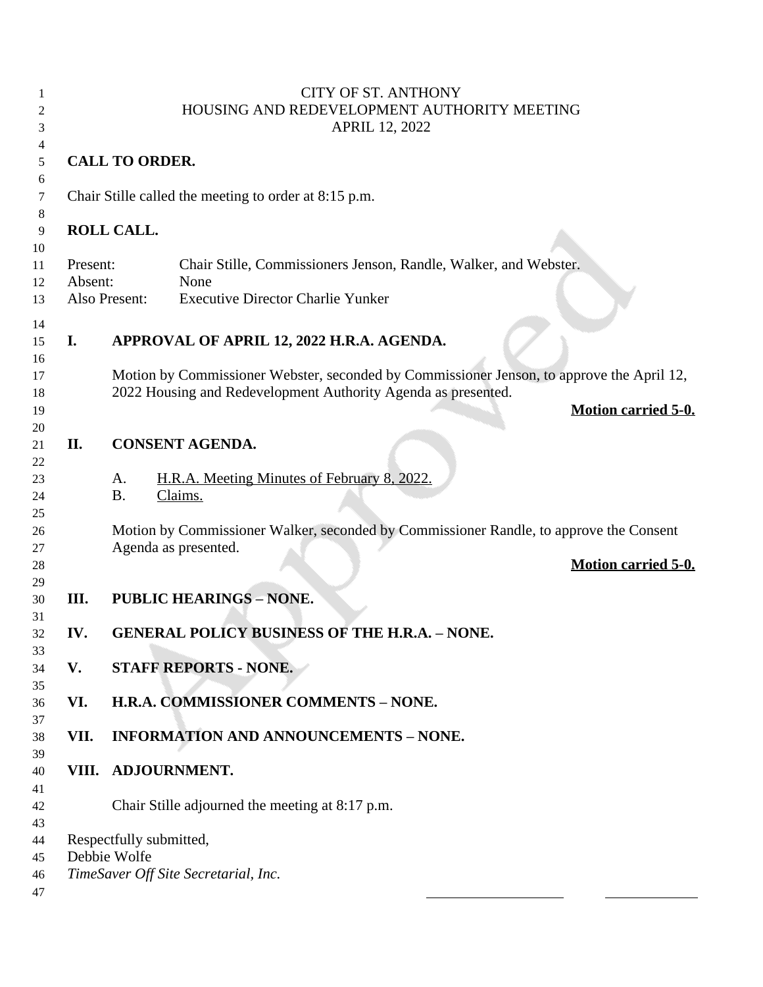|                     |                                                      | <b>CITY OF ST. ANTHONY</b><br>HOUSING AND REDEVELOPMENT AUTHORITY MEETING<br><b>APRIL 12, 2022</b>                                                         |
|---------------------|------------------------------------------------------|------------------------------------------------------------------------------------------------------------------------------------------------------------|
|                     | <b>CALL TO ORDER.</b>                                |                                                                                                                                                            |
|                     |                                                      | Chair Stille called the meeting to order at 8:15 p.m.                                                                                                      |
|                     | ROLL CALL.                                           |                                                                                                                                                            |
| Present:<br>Absent: |                                                      | Chair Stille, Commissioners Jenson, Randle, Walker, and Webster.<br>None                                                                                   |
|                     | Also Present:                                        | <b>Executive Director Charlie Yunker</b>                                                                                                                   |
| I.                  |                                                      | APPROVAL OF APRIL 12, 2022 H.R.A. AGENDA.                                                                                                                  |
|                     |                                                      | Motion by Commissioner Webster, seconded by Commissioner Jenson, to approve the April 12,<br>2022 Housing and Redevelopment Authority Agenda as presented. |
|                     |                                                      | <b>Motion carried 5-0.</b>                                                                                                                                 |
| II.                 | <b>CONSENT AGENDA.</b>                               |                                                                                                                                                            |
|                     | A.<br><b>B.</b>                                      | H.R.A. Meeting Minutes of February 8, 2022.<br>Claims.                                                                                                     |
|                     |                                                      | Motion by Commissioner Walker, seconded by Commissioner Randle, to approve the Consent                                                                     |
|                     |                                                      | Agenda as presented.<br><b>Motion carried 5-0.</b>                                                                                                         |
| III.                |                                                      | <b>PUBLIC HEARINGS - NONE.</b>                                                                                                                             |
| IV.                 | <b>GENERAL POLICY BUSINESS OF THE H.R.A. - NONE.</b> |                                                                                                                                                            |
| V.                  | <b>STAFF REPORTS - NONE.</b>                         |                                                                                                                                                            |
| VI.                 | H.R.A. COMMISSIONER COMMENTS - NONE.                 |                                                                                                                                                            |
| VII.                | <b>INFORMATION AND ANNOUNCEMENTS - NONE.</b>         |                                                                                                                                                            |
| VIII.               |                                                      | <b>ADJOURNMENT.</b>                                                                                                                                        |
|                     |                                                      | Chair Stille adjourned the meeting at 8:17 p.m.                                                                                                            |
|                     | Respectfully submitted,<br>Debbie Wolfe              |                                                                                                                                                            |